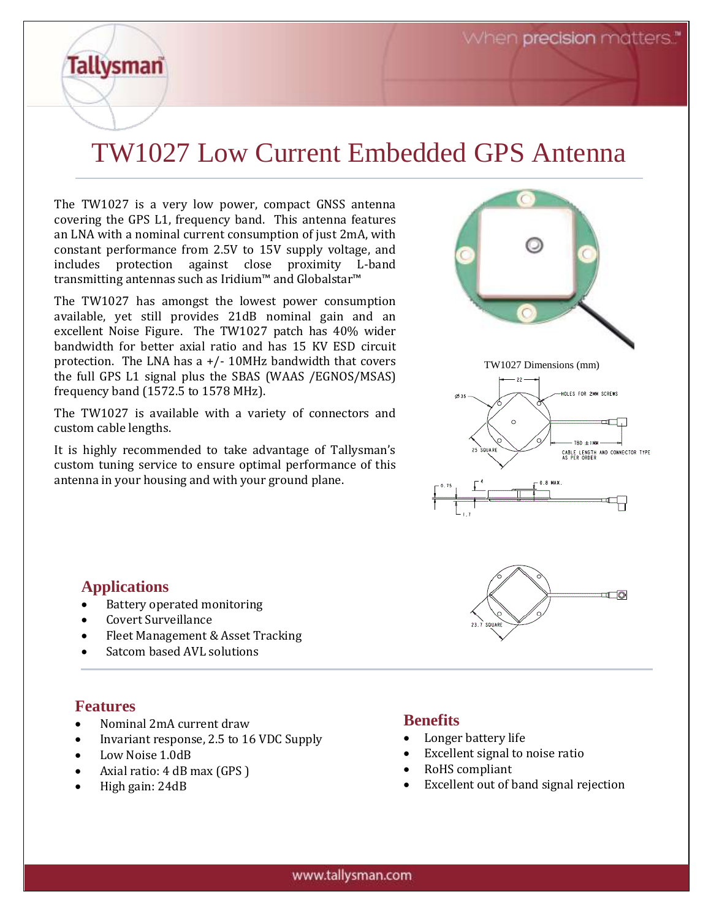When **precision** matters.

# TW1027 Low Current Embedded GPS Antenna

The TW1027 is a very low power, compact GNSS antenna covering the GPS L1, frequency band. This antenna features an LNA with a nominal current consumption of just 2mA, with constant performance from 2.5V to 15V supply voltage, and includes protection against close proximity L-band transmitting antennas such as Iridium™ and Globalstar™

The TW1027 has amongst the lowest power consumption available, yet still provides 21dB nominal gain and an excellent Noise Figure. The TW1027 patch has 40% wider bandwidth for better axial ratio and has 15 KV ESD circuit protection. The LNA has  $a +/- 10$ MHz bandwidth that covers the full GPS L1 signal plus the SBAS (WAAS /EGNOS/MSAS) frequency band (1572.5 to 1578 MHz).

The TW1027 is available with a variety of connectors and custom cable lengths.

It is highly recommended to take advantage of Tallysman's custom tuning service to ensure optimal performance of this antenna in your housing and with your ground plane.



### **Applications**

**Tallysman** 

- Battery operated monitoring
- Covert Surveillance
- Fleet Management & Asset Tracking
- Satcom based AVL solutions

#### **Features**

- Nominal 2mA current draw
- Invariant response, 2.5 to 16 VDC Supply
- Low Noise 1.0dB
- Axial ratio: 4 dB max (GPS )
- High gain: 24dB

### **Benefits**

- Longer battery life
- Excellent signal to noise ratio
- RoHS compliant
- Excellent out of band signal rejection